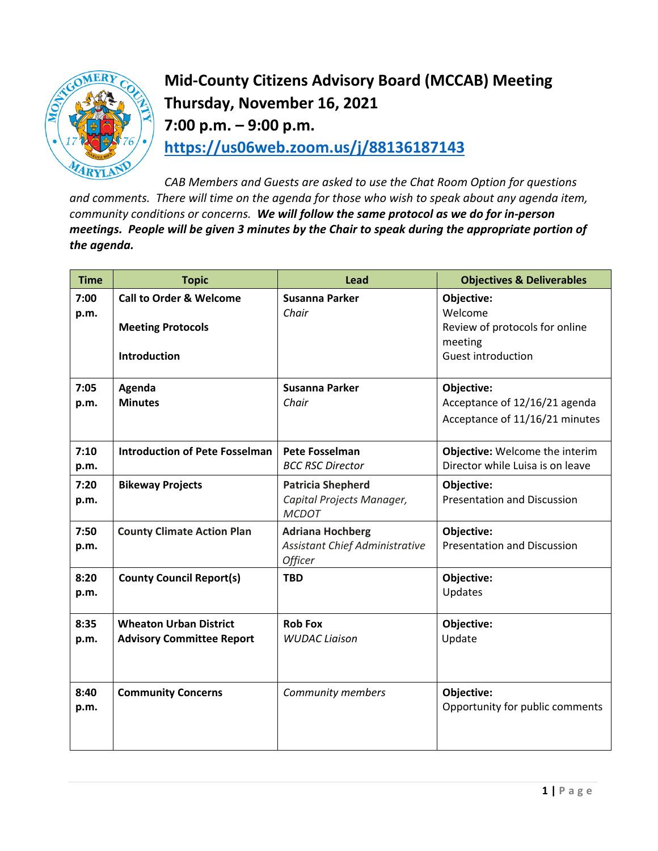

**Mid-County Citizens Advisory Board (MCCAB) Meeting Thursday, November 16, 2021 7:00 p.m. – 9:00 p.m. <https://us06web.zoom.us/j/88136187143>**

*CAB Members and Guests are asked to use the Chat Room Option for questions and comments. There will time on the agenda for those who wish to speak about any agenda item, community conditions or concerns. We will follow the same protocol as we do for in-person meetings. People will be given 3 minutes by the Chair to speak during the appropriate portion of the agenda.* 

| <b>Time</b>  | <b>Topic</b>                                                      | <b>Lead</b>                                                                 | <b>Objectives &amp; Deliverables</b>                                          |
|--------------|-------------------------------------------------------------------|-----------------------------------------------------------------------------|-------------------------------------------------------------------------------|
| 7:00<br>p.m. | <b>Call to Order &amp; Welcome</b>                                | <b>Susanna Parker</b><br>Chair                                              | Objective:<br>Welcome                                                         |
|              | <b>Meeting Protocols</b><br><b>Introduction</b>                   |                                                                             | Review of protocols for online<br>meeting<br><b>Guest introduction</b>        |
| 7:05<br>p.m. | Agenda<br><b>Minutes</b>                                          | <b>Susanna Parker</b><br>Chair                                              | Objective:<br>Acceptance of 12/16/21 agenda<br>Acceptance of 11/16/21 minutes |
| 7:10<br>p.m. | <b>Introduction of Pete Fosselman</b>                             | <b>Pete Fosselman</b><br><b>BCC RSC Director</b>                            | Objective: Welcome the interim<br>Director while Luisa is on leave            |
| 7:20<br>p.m. | <b>Bikeway Projects</b>                                           | <b>Patricia Shepherd</b><br>Capital Projects Manager,<br><b>MCDOT</b>       | Objective:<br><b>Presentation and Discussion</b>                              |
| 7:50<br>p.m. | <b>County Climate Action Plan</b>                                 | <b>Adriana Hochberg</b><br><b>Assistant Chief Administrative</b><br>Officer | Objective:<br><b>Presentation and Discussion</b>                              |
| 8:20<br>p.m. | <b>County Council Report(s)</b>                                   | <b>TBD</b>                                                                  | Objective:<br>Updates                                                         |
| 8:35<br>p.m. | <b>Wheaton Urban District</b><br><b>Advisory Committee Report</b> | <b>Rob Fox</b><br><b>WUDAC Liaison</b>                                      | Objective:<br>Update                                                          |
| 8:40<br>p.m. | <b>Community Concerns</b>                                         | Community members                                                           | Objective:<br>Opportunity for public comments                                 |